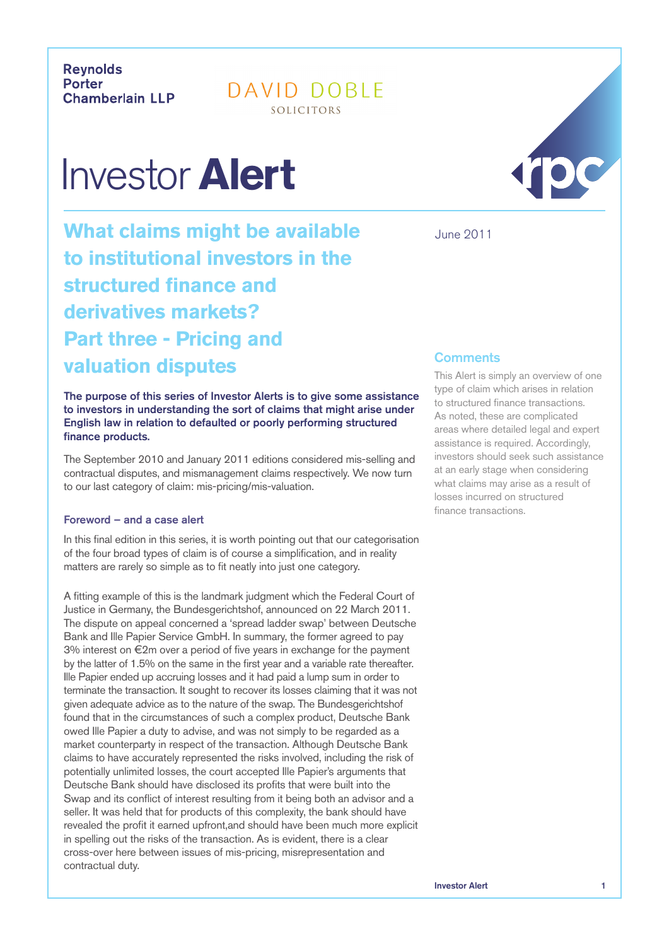**Revnolds** Porter **Chamberlain LLP** 

DAVID DOBLE SOLICITORS

# Investor **Alert**

**What claims might be available to institutional investors in the structured finance and derivatives markets? Part three - Pricing and valuation disputes**

The purpose of this series of Investor Alerts is to give some assistance to investors in understanding the sort of claims that might arise under English law in relation to defaulted or poorly performing structured finance products.

The September 2010 and January 2011 editions considered mis-selling and contractual disputes, and mismanagement claims respectively. We now turn to our last category of claim: mis-pricing/mis-valuation.

## Foreword – and a case alert

In this final edition in this series, it is worth pointing out that our categorisation of the four broad types of claim is of course a simplification, and in reality matters are rarely so simple as to fit neatly into just one category.

A fitting example of this is the landmark judgment which the Federal Court of Justice in Germany, the Bundesgerichtshof, announced on 22 March 2011. The dispute on appeal concerned a 'spread ladder swap' between Deutsche Bank and Ille Papier Service GmbH. In summary, the former agreed to pay  $3\%$  interest on  $\epsilon$ 2m over a period of five years in exchange for the payment by the latter of 1.5% on the same in the first year and a variable rate thereafter. Ille Papier ended up accruing losses and it had paid a lump sum in order to terminate the transaction. It sought to recover its losses claiming that it was not given adequate advice as to the nature of the swap. The Bundesgerichtshof found that in the circumstances of such a complex product, Deutsche Bank owed Ille Papier a duty to advise, and was not simply to be regarded as a market counterparty in respect of the transaction. Although Deutsche Bank claims to have accurately represented the risks involved, including the risk of potentially unlimited losses, the court accepted Ille Papier's arguments that Deutsche Bank should have disclosed its profits that were built into the Swap and its conflict of interest resulting from it being both an advisor and a seller. It was held that for products of this complexity, the bank should have revealed the profit it earned upfront, and should have been much more explicit in spelling out the risks of the transaction. As is evident, there is a clear cross-over here between issues of mis-pricing, misrepresentation and contractual duty.



June 2011

# **Comments**

This Alert is simply an overview of one type of claim which arises in relation to structured finance transactions. As noted, these are complicated areas where detailed legal and expert assistance is required. Accordingly, investors should seek such assistance at an early stage when considering what claims may arise as a result of losses incurred on structured finance transactions.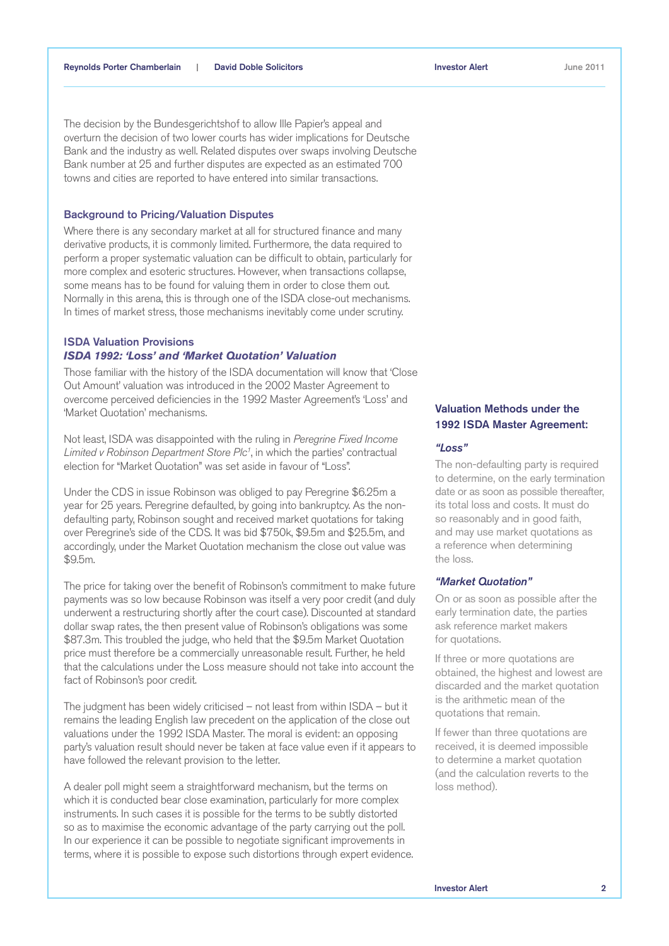The decision by the Bundesgerichtshof to allow Ille Papier's appeal and overturn the decision of two lower courts has wider implications for Deutsche Bank and the industry as well. Related disputes over swaps involving Deutsche Bank number at 25 and further disputes are expected as an estimated 700 towns and cities are reported to have entered into similar transactions.

## Background to Pricing/Valuation Disputes

Where there is any secondary market at all for structured finance and many derivative products, it is commonly limited. Furthermore, the data required to perform a proper systematic valuation can be difficult to obtain, particularly for more complex and esoteric structures. However, when transactions collapse, some means has to be found for valuing them in order to close them out. Normally in this arena, this is through one of the ISDA close-out mechanisms. In times of market stress, those mechanisms inevitably come under scrutiny.

## ISDA Valuation Provisions *ISDA 1992: 'Loss' and 'Market Quotation' Valuation*

Those familiar with the history of the ISDA documentation will know that 'Close Out Amount' valuation was introduced in the 2002 Master Agreement to overcome perceived deficiencies in the 1992 Master Agreement's 'Loss' and 'Market Quotation' mechanisms.

Not least, ISDA was disappointed with the ruling in *Peregrine Fixed Income Limited v Robinson Department Store Plc1* , in which the parties' contractual election for "Market Quotation" was set aside in favour of "Loss".

Under the CDS in issue Robinson was obliged to pay Peregrine \$6.25m a year for 25 years. Peregrine defaulted, by going into bankruptcy. As the nondefaulting party, Robinson sought and received market quotations for taking over Peregrine's side of the CDS. It was bid \$750k, \$9.5m and \$25.5m, and accordingly, under the Market Quotation mechanism the close out value was \$9.5m.

The price for taking over the benefit of Robinson's commitment to make future payments was so low because Robinson was itself a very poor credit (and duly underwent a restructuring shortly after the court case). Discounted at standard dollar swap rates, the then present value of Robinson's obligations was some \$87.3m. This troubled the judge, who held that the \$9.5m Market Quotation price must therefore be a commercially unreasonable result. Further, he held that the calculations under the Loss measure should not take into account the fact of Robinson's poor credit.

The judgment has been widely criticised – not least from within ISDA – but it remains the leading English law precedent on the application of the close out valuations under the 1992 ISDA Master. The moral is evident: an opposing party's valuation result should never be taken at face value even if it appears to have followed the relevant provision to the letter.

A dealer poll might seem a straightforward mechanism, but the terms on which it is conducted bear close examination, particularly for more complex instruments. In such cases it is possible for the terms to be subtly distorted so as to maximise the economic advantage of the party carrying out the poll. In our experience it can be possible to negotiate significant improvements in terms, where it is possible to expose such distortions through expert evidence.

## Valuation Methods under the 1992 ISDA Master Agreement:

#### *"Loss"*

The non-defaulting party is required to determine, on the early termination date or as soon as possible thereafter, its total loss and costs. It must do so reasonably and in good faith, and may use market quotations as a reference when determining the loss.

#### *"Market Quotation"*

On or as soon as possible after the early termination date, the parties ask reference market makers for quotations.

If three or more quotations are obtained, the highest and lowest are discarded and the market quotation is the arithmetic mean of the quotations that remain.

If fewer than three quotations are received, it is deemed impossible to determine a market quotation (and the calculation reverts to the loss method).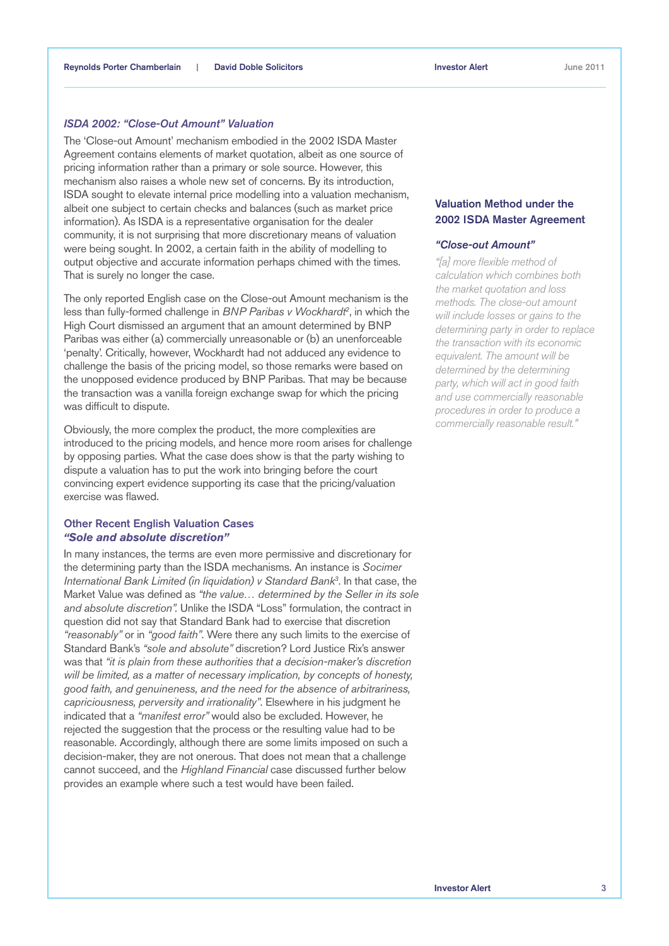## *ISDA 2002: "Close-Out Amount" Valuation*

The 'Close-out Amount' mechanism embodied in the 2002 ISDA Master Agreement contains elements of market quotation, albeit as one source of pricing information rather than a primary or sole source. However, this mechanism also raises a whole new set of concerns. By its introduction, ISDA sought to elevate internal price modelling into a valuation mechanism, albeit one subject to certain checks and balances (such as market price information). As ISDA is a representative organisation for the dealer community, it is not surprising that more discretionary means of valuation were being sought. In 2002, a certain faith in the ability of modelling to output objective and accurate information perhaps chimed with the times. That is surely no longer the case.

The only reported English case on the Close-out Amount mechanism is the less than fully-formed challenge in *BNP Paribas v Wockhardt2* , in which the High Court dismissed an argument that an amount determined by BNP Paribas was either (a) commercially unreasonable or (b) an unenforceable 'penalty'. Critically, however, Wockhardt had not adduced any evidence to challenge the basis of the pricing model, so those remarks were based on the unopposed evidence produced by BNP Paribas. That may be because the transaction was a vanilla foreign exchange swap for which the pricing was difficult to dispute.

Obviously, the more complex the product, the more complexities are introduced to the pricing models, and hence more room arises for challenge by opposing parties. What the case does show is that the party wishing to dispute a valuation has to put the work into bringing before the court convincing expert evidence supporting its case that the pricing/valuation exercise was flawed.

## Other Recent English Valuation Cases *"Sole and absolute discretion"*

In many instances, the terms are even more permissive and discretionary for the determining party than the ISDA mechanisms. An instance is *Socimer International Bank Limited (in liquidation) v Standard Bank3* . In that case, the Market Value was defined as *"the value… determined by the Seller in its sole and absolute discretion".* Unlike the ISDA "Loss" formulation, the contract in question did not say that Standard Bank had to exercise that discretion *"reasonably"* or in *"good faith"*. Were there any such limits to the exercise of Standard Bank's *"sole and absolute"* discretion? Lord Justice Rix's answer was that *"it is plain from these authorities that a decision-maker's discretion will be limited, as a matter of necessary implication, by concepts of honesty, good faith, and genuineness, and the need for the absence of arbitrariness, capriciousness, perversity and irrationality"*. Elsewhere in his judgment he indicated that a *"manifest error"* would also be excluded. However, he rejected the suggestion that the process or the resulting value had to be reasonable. Accordingly, although there are some limits imposed on such a decision-maker, they are not onerous. That does not mean that a challenge cannot succeed, and the *Highland Financial* case discussed further below provides an example where such a test would have been failed.

# Valuation Method under the 2002 ISDA Master Agreement

#### *"Close-out Amount"*

*"[a] more flexible method of calculation which combines both the market quotation and loss methods. The close-out amount will include losses or gains to the determining party in order to replace the transaction with its economic equivalent. The amount will be determined by the determining party, which will act in good faith and use commercially reasonable procedures in order to produce a commercially reasonable result."*